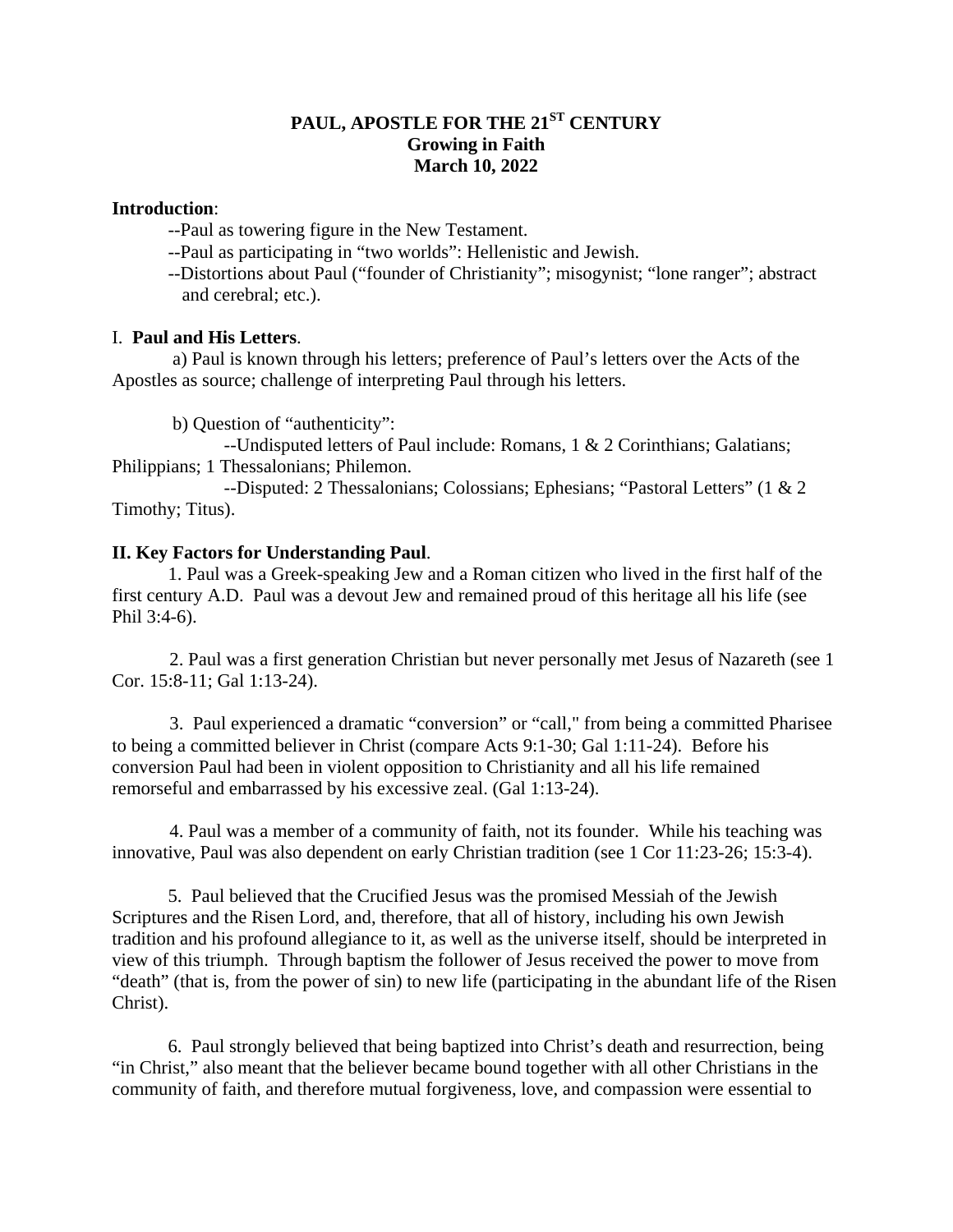# **PAUL, APOSTLE FOR THE 21ST CENTURY Growing in Faith March 10, 2022**

### **Introduction**:

--Paul as towering figure in the New Testament.

--Paul as participating in "two worlds": Hellenistic and Jewish.

 --Distortions about Paul ("founder of Christianity"; misogynist; "lone ranger"; abstract and cerebral; etc.).

## I. **Paul and His Letters**.

a) Paul is known through his letters; preference of Paul's letters over the Acts of the Apostles as source; challenge of interpreting Paul through his letters.

b) Question of "authenticity":

 --Undisputed letters of Paul include: Romans, 1 & 2 Corinthians; Galatians; Philippians; 1 Thessalonians; Philemon.

 --Disputed: 2 Thessalonians; Colossians; Ephesians; "Pastoral Letters" (1 & 2 Timothy; Titus).

## **II. Key Factors for Understanding Paul**.

 1. Paul was a Greek-speaking Jew and a Roman citizen who lived in the first half of the first century A.D. Paul was a devout Jew and remained proud of this heritage all his life (see Phil 3:4-6).

 2. Paul was a first generation Christian but never personally met Jesus of Nazareth (see 1 Cor. 15:8-11; Gal 1:13-24).

 3. Paul experienced a dramatic "conversion" or "call," from being a committed Pharisee to being a committed believer in Christ (compare Acts 9:1-30; Gal 1:11-24). Before his conversion Paul had been in violent opposition to Christianity and all his life remained remorseful and embarrassed by his excessive zeal. (Gal 1:13-24).

 4. Paul was a member of a community of faith, not its founder. While his teaching was innovative, Paul was also dependent on early Christian tradition (see 1 Cor 11:23-26; 15:3-4).

 5. Paul believed that the Crucified Jesus was the promised Messiah of the Jewish Scriptures and the Risen Lord, and, therefore, that all of history, including his own Jewish tradition and his profound allegiance to it, as well as the universe itself, should be interpreted in view of this triumph. Through baptism the follower of Jesus received the power to move from "death" (that is, from the power of sin) to new life (participating in the abundant life of the Risen Christ).

 6. Paul strongly believed that being baptized into Christ's death and resurrection, being "in Christ," also meant that the believer became bound together with all other Christians in the community of faith, and therefore mutual forgiveness, love, and compassion were essential to